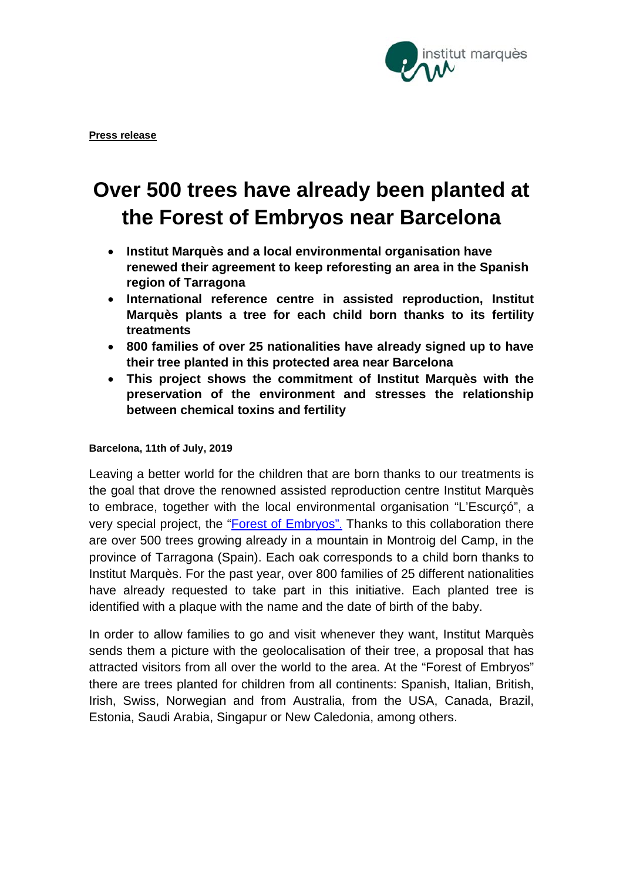

# **Over 500 trees have already been planted at the Forest of Embryos near Barcelona**

- **Institut Marquès and a local environmental organisation have renewed their agreement to keep reforesting an area in the Spanish region of Tarragona**
- **International reference centre in assisted reproduction, Institut Marquès plants a tree for each child born thanks to its fertility treatments**
- **800 families of over 25 nationalities have already signed up to have their tree planted in this protected area near Barcelona**
- **This project shows the commitment of Institut Marquès with the preservation of the environment and stresses the relationship between chemical toxins and fertility**

## **Barcelona, 11th of July, 2019**

Leaving a better world for the children that are born thanks to our treatments is the goal that drove the renowned assisted reproduction centre Institut Marquès to embrace, together with the local environmental organisation "L'Escurçó", a very special project, the ["Forest of Embryos"](https://institutomarques.com/en/about-us/the-forest-of-embryos/). Thanks to this collaboration there are over 500 trees growing already in a mountain in Montroig del Camp, in the province of Tarragona (Spain). Each oak corresponds to a child born thanks to Institut Marquès. For the past year, over 800 families of 25 different nationalities have already requested to take part in this initiative. Each planted tree is identified with a plaque with the name and the date of birth of the baby.

In order to allow families to go and visit whenever they want, Institut Marquès sends them a picture with the geolocalisation of their tree, a proposal that has attracted visitors from all over the world to the area. At the "Forest of Embryos" there are trees planted for children from all continents: Spanish, Italian, British, Irish, Swiss, Norwegian and from Australia, from the USA, Canada, Brazil, Estonia, Saudi Arabia, Singapur or New Caledonia, among others.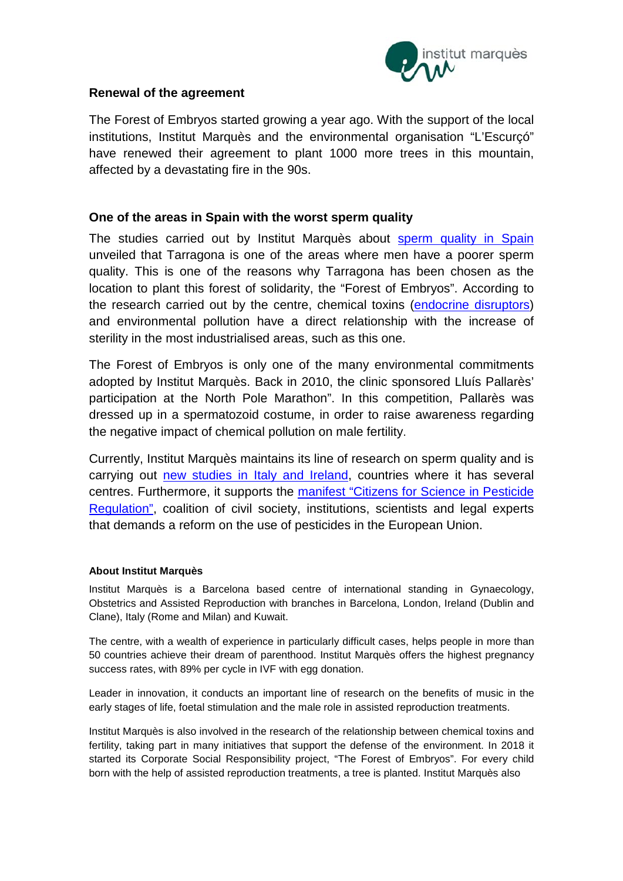

## **Renewal of the agreement**

The Forest of Embryos started growing a year ago. With the support of the local institutions, Institut Marquès and the environmental organisation "L'Escurçó" have renewed their agreement to plant 1000 more trees in this mountain, affected by a devastating fire in the 90s.

## **One of the areas in Spain with the worst sperm quality**

The studies carried out by Institut Marquès about [sperm quality in Spain](https://institutomarques.com/en/study-on-semen-quality/) unveiled that Tarragona is one of the areas where men have a poorer sperm quality. This is one of the reasons why Tarragona has been chosen as the location to plant this forest of solidarity, the "Forest of Embryos". According to the research carried out by the centre, chemical toxins [\(endocrine disruptors\)](https://institutomarques.com/en/assisted-reproduction/endocrine-disruptors/) and environmental pollution have a direct relationship with the increase of sterility in the most industrialised areas, such as this one.

The Forest of Embryos is only one of the many environmental commitments adopted by Institut Marquès. Back in 2010, the clinic sponsored Lluís Pallarès' participation at the North Pole Marathon". In this competition, Pallarès was dressed up in a spermatozoid costume, in order to raise awareness regarding the negative impact of chemical pollution on male fertility.

Currently, Institut Marquès maintains its line of research on sperm quality and is carrying out [new studies in Italy and Ireland,](https://www.fertility-experiences.com/sperm-quality-and-chemical-toxics/) countries where it has several centres. Furthermore, it supports the [manifest "Citizens for Science in Pesticide](https://institutomarques.com/en/news/news-2018/we-support-the-citizens-for-science-in-pesticide-regulation-manifesto/)  [Regulation",](https://institutomarques.com/en/news/news-2018/we-support-the-citizens-for-science-in-pesticide-regulation-manifesto/) coalition of civil society, institutions, scientists and legal experts that demands a reform on the use of pesticides in the European Union.

#### **About Institut Marquès**

Institut Marquès is a Barcelona based centre of international standing in Gynaecology, Obstetrics and Assisted Reproduction with branches in Barcelona, London, Ireland (Dublin and Clane), Italy (Rome and Milan) and Kuwait.

The centre, with a wealth of experience in particularly difficult cases, helps people in more than 50 countries achieve their dream of parenthood. Institut Marquès offers the highest pregnancy success rates, with 89% per cycle in IVF with egg donation.

Leader in innovation, it conducts an important line of research on the benefits of music in the early stages of life, foetal stimulation and the male role in assisted reproduction treatments.

Institut Marquès is also involved in the research of the relationship between chemical toxins and fertility, taking part in many initiatives that support the defense of the environment. In 2018 it started its Corporate Social Responsibility project, "The Forest of Embryos". For every child born with the help of assisted reproduction treatments, a tree is planted. Institut Marquès also